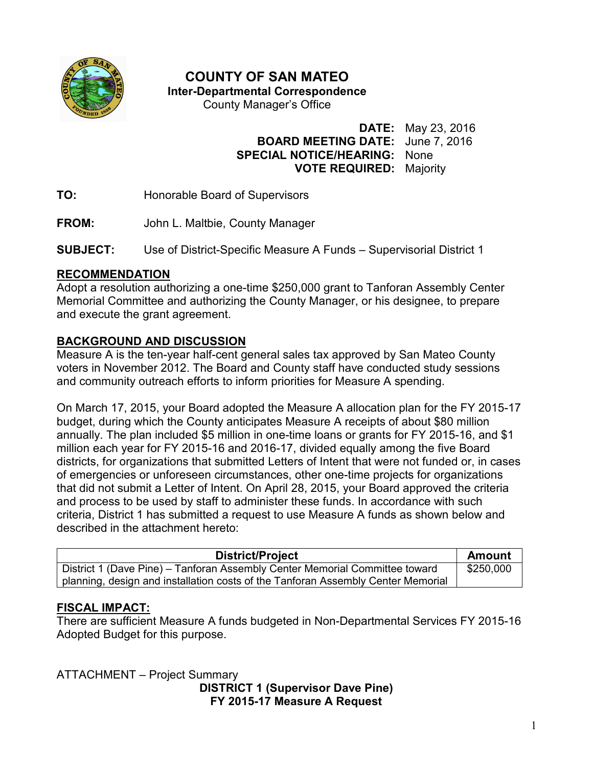

# **COUNTY OF SAN MATEO**

**Inter-Departmental Correspondence** 

County Manager's Office

**DATE:** May 23, 2016

# **BOARD MEETING DATE:** June 7, 2016 **SPECIAL NOTICE/HEARING:** None **VOTE REQUIRED:** Majority

**TO:** Honorable Board of Supervisors

**FROM:** John L. Maltbie, County Manager

**SUBJECT:** Use of District-Specific Measure A Funds – Supervisorial District 1

### **RECOMMENDATION**

Adopt a resolution authorizing a one-time \$250,000 grant to Tanforan Assembly Center Memorial Committee and authorizing the County Manager, or his designee, to prepare and execute the grant agreement.

# **BACKGROUND AND DISCUSSION**

Measure A is the ten-year half-cent general sales tax approved by San Mateo County voters in November 2012. The Board and County staff have conducted study sessions and community outreach efforts to inform priorities for Measure A spending.

On March 17, 2015, your Board adopted the Measure A allocation plan for the FY 2015-17 budget, during which the County anticipates Measure A receipts of about \$80 million annually. The plan included \$5 million in one-time loans or grants for FY 2015-16, and \$1 million each year for FY 2015-16 and 2016-17, divided equally among the five Board districts, for organizations that submitted Letters of Intent that were not funded or, in cases of emergencies or unforeseen circumstances, other one-time projects for organizations that did not submit a Letter of Intent. On April 28, 2015, your Board approved the criteria and process to be used by staff to administer these funds. In accordance with such criteria, District 1 has submitted a request to use Measure A funds as shown below and described in the attachment hereto:

| District/Project                                                                 | Amount    |
|----------------------------------------------------------------------------------|-----------|
| District 1 (Dave Pine) – Tanforan Assembly Center Memorial Committee toward      | \$250,000 |
| planning, design and installation costs of the Tanforan Assembly Center Memorial |           |

# **FISCAL IMPACT:**

There are sufficient Measure A funds budgeted in Non-Departmental Services FY 2015-16 Adopted Budget for this purpose.

ATTACHMENT – Project Summary **DISTRICT 1 (Supervisor Dave Pine) FY 2015-17 Measure A Request**